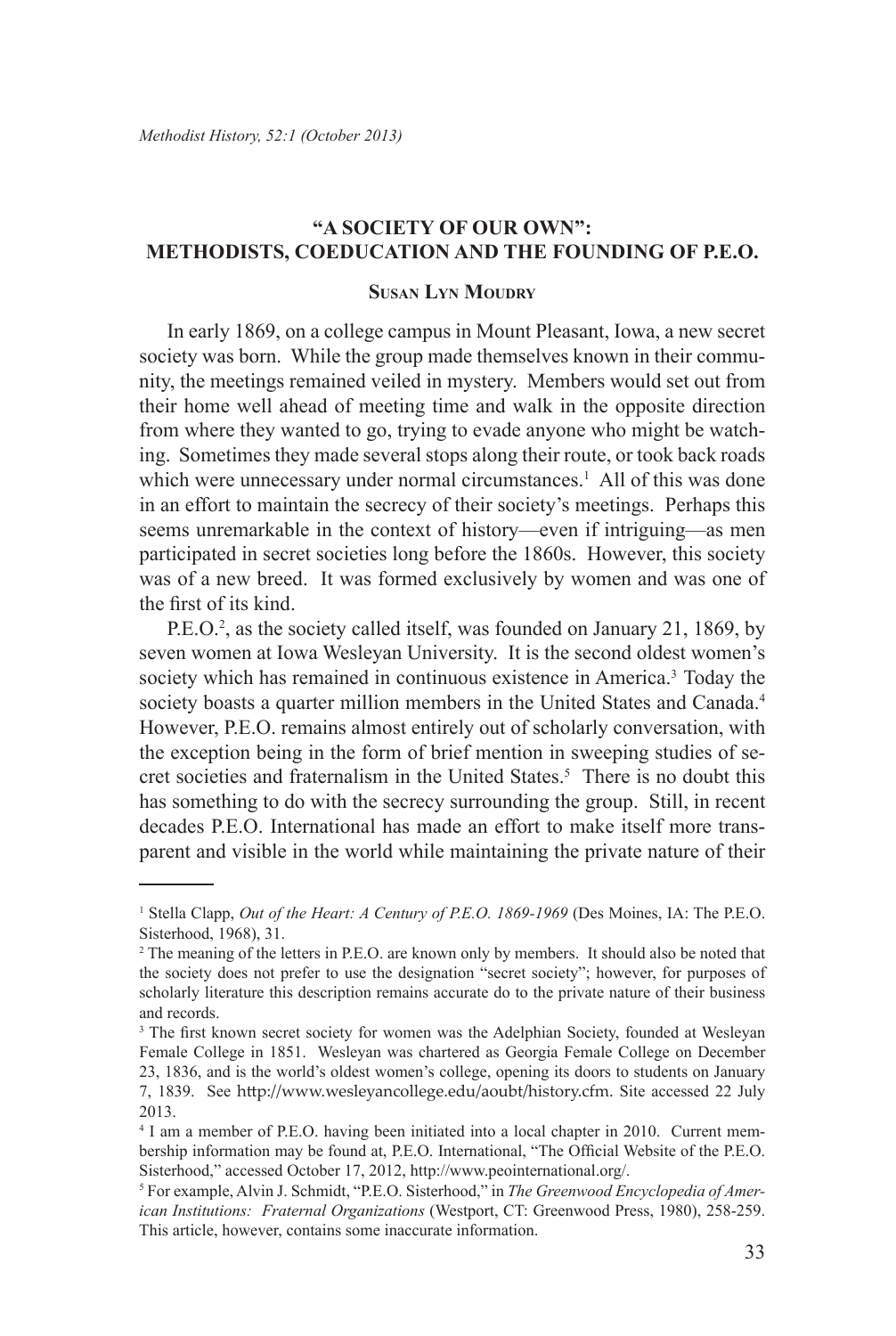# **"A SOCIETY OF OUR OWN": METHODISTS, COEDUCATION AND THE FOUNDING OF P.E.O.**

#### **Susan Lyn Moudry**

In early 1869, on a college campus in Mount Pleasant, Iowa, a new secret society was born. While the group made themselves known in their community, the meetings remained veiled in mystery. Members would set out from their home well ahead of meeting time and walk in the opposite direction from where they wanted to go, trying to evade anyone who might be watching. Sometimes they made several stops along their route, or took back roads which were unnecessary under normal circumstances.<sup>1</sup> All of this was done in an effort to maintain the secrecy of their society's meetings. Perhaps this seems unremarkable in the context of history—even if intriguing—as men participated in secret societies long before the 1860s. However, this society was of a new breed. It was formed exclusively by women and was one of the first of its kind.

P.E.O.<sup>2</sup>, as the society called itself, was founded on January 21, 1869, by seven women at Iowa Wesleyan University. It is the second oldest women's society which has remained in continuous existence in America.<sup>3</sup> Today the society boasts a quarter million members in the United States and Canada.<sup>4</sup> However, P.E.O. remains almost entirely out of scholarly conversation, with the exception being in the form of brief mention in sweeping studies of secret societies and fraternalism in the United States.<sup>5</sup> There is no doubt this has something to do with the secrecy surrounding the group. Still, in recent decades P.E.O. International has made an effort to make itself more transparent and visible in the world while maintaining the private nature of their

<sup>&</sup>lt;sup>1</sup> Stella Clapp, *Out of the Heart: A Century of P.E.O. 1869-1969* (Des Moines, IA: The P.E.O. Sisterhood, 1968), 31.

<sup>&</sup>lt;sup>2</sup> The meaning of the letters in P.E.O. are known only by members. It should also be noted that the society does not prefer to use the designation "secret society"; however, for purposes of scholarly literature this description remains accurate do to the private nature of their business and records.

<sup>&</sup>lt;sup>3</sup> The first known secret society for women was the Adelphian Society, founded at Wesleyan Female College in 1851. Wesleyan was chartered as Georgia Female College on December 23, 1836, and is the world's oldest women's college, opening its doors to students on January 7, 1839. See http://www.wesleyancollege.edu/aoubt/history.cfm. Site accessed 22 July 2013.

<sup>4</sup> I am a member of P.E.O. having been initiated into a local chapter in 2010. Current membership information may be found at, P.E.O. International, "The Official Website of the P.E.O. Sisterhood," accessed October 17, 2012, http://www.peointernational.org/.

<sup>5</sup> For example, Alvin J. Schmidt, "P.E.O. Sisterhood," in *The Greenwood Encyclopedia of American Institutions: Fraternal Organizations* (Westport, CT: Greenwood Press, 1980), 258-259. This article, however, contains some inaccurate information.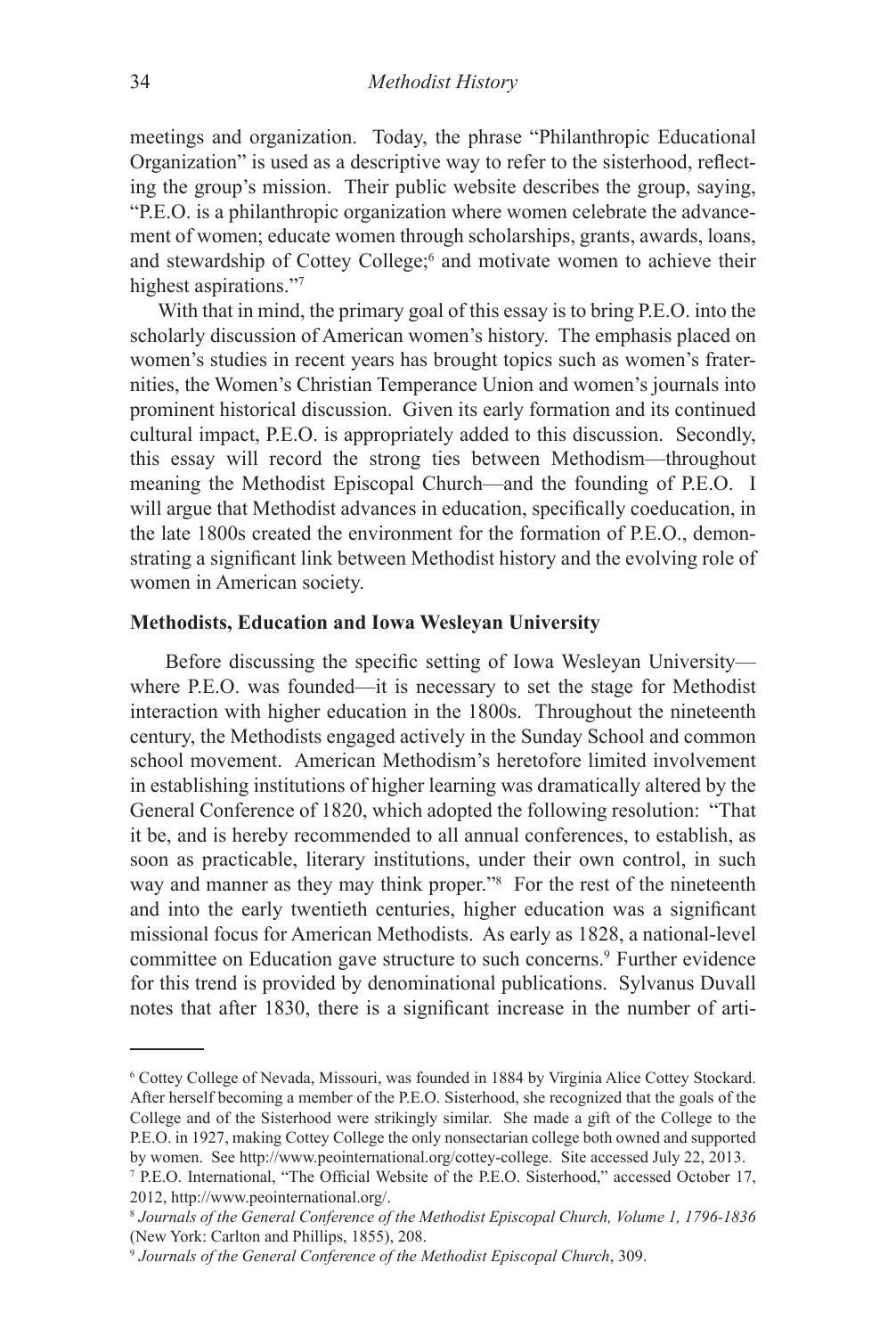meetings and organization. Today, the phrase "Philanthropic Educational Organization" is used as a descriptive way to refer to the sisterhood, reflecting the group's mission. Their public website describes the group, saying, "P.E.O. is a philanthropic organization where women celebrate the advancement of women; educate women through scholarships, grants, awards, loans, and stewardship of Cottey College;<sup>6</sup> and motivate women to achieve their highest aspirations."7

With that in mind, the primary goal of this essay is to bring P.E.O. into the scholarly discussion of American women's history. The emphasis placed on women's studies in recent years has brought topics such as women's fraternities, the Women's Christian Temperance Union and women's journals into prominent historical discussion. Given its early formation and its continued cultural impact, P.E.O. is appropriately added to this discussion. Secondly, this essay will record the strong ties between Methodism—throughout meaning the Methodist Episcopal Church—and the founding of P.E.O. I will argue that Methodist advances in education, specifically coeducation, in the late 1800s created the environment for the formation of P.E.O., demonstrating a significant link between Methodist history and the evolving role of women in American society.

#### **Methodists, Education and Iowa Wesleyan University**

 Before discussing the specific setting of Iowa Wesleyan University where P.E.O. was founded—it is necessary to set the stage for Methodist interaction with higher education in the 1800s. Throughout the nineteenth century, the Methodists engaged actively in the Sunday School and common school movement. American Methodism's heretofore limited involvement in establishing institutions of higher learning was dramatically altered by the General Conference of 1820, which adopted the following resolution: "That it be, and is hereby recommended to all annual conferences, to establish, as soon as practicable, literary institutions, under their own control, in such way and manner as they may think proper."<sup>8</sup> For the rest of the nineteenth and into the early twentieth centuries, higher education was a significant missional focus for American Methodists. As early as 1828, a national-level committee on Education gave structure to such concerns.<sup>9</sup> Further evidence for this trend is provided by denominational publications. Sylvanus Duvall notes that after 1830, there is a significant increase in the number of arti-

<sup>6</sup> Cottey College of Nevada, Missouri, was founded in 1884 by Virginia Alice Cottey Stockard. After herself becoming a member of the P.E.O. Sisterhood, she recognized that the goals of the College and of the Sisterhood were strikingly similar. She made a gift of the College to the P.E.O. in 1927, making Cottey College the only nonsectarian college both owned and supported by women. See http://www.peointernational.org/cottey-college. Site accessed July 22, 2013.

<sup>7</sup> P.E.O. International, "The Official Website of the P.E.O. Sisterhood," accessed October 17, 2012, http://www.peointernational.org/.

<sup>8</sup> *Journals of the General Conference of the Methodist Episcopal Church, Volume 1, 1796-1836*  (New York: Carlton and Phillips, 1855), 208.

<sup>9</sup>  *Journals of the General Conference of the Methodist Episcopal Church*, 309.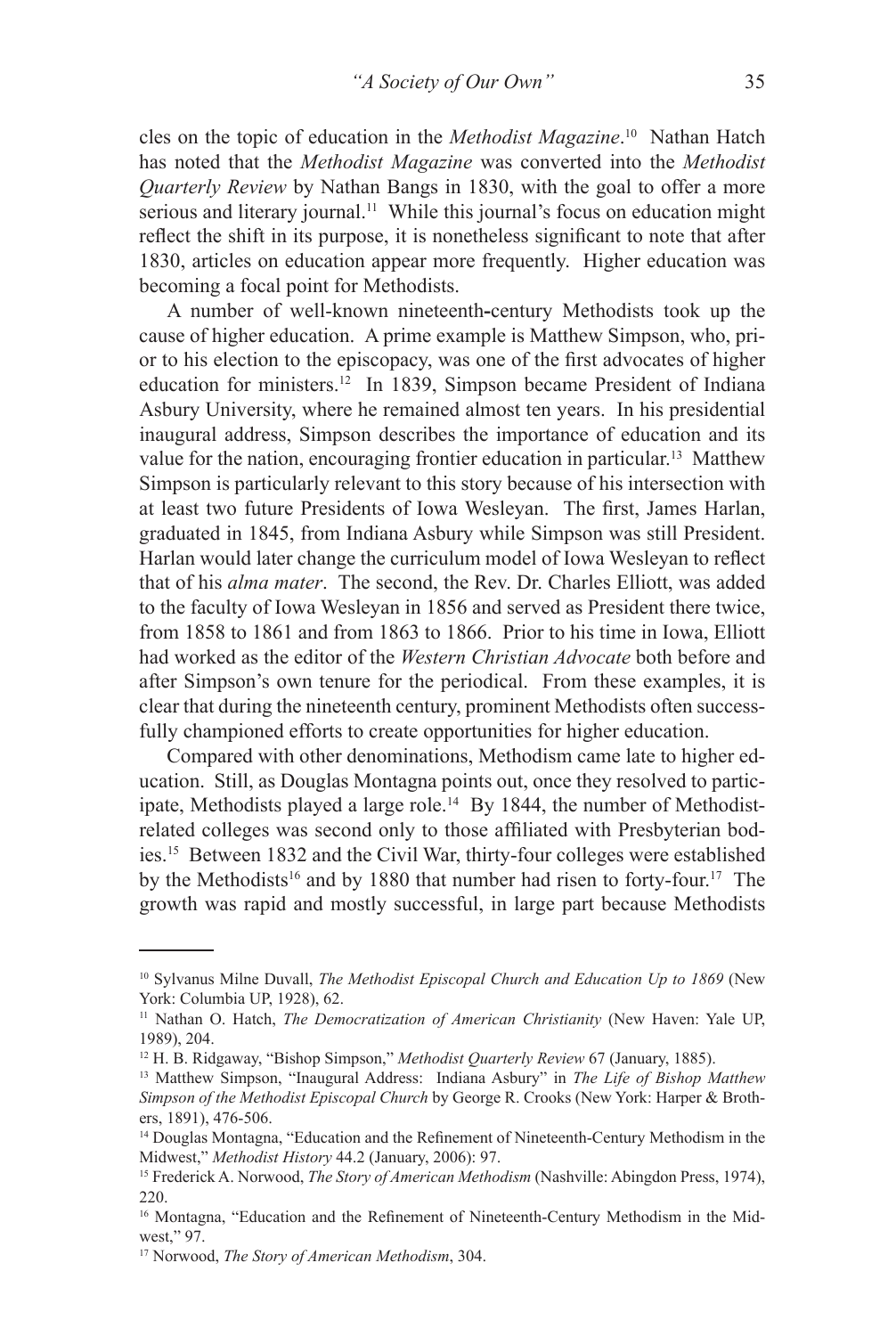cles on the topic of education in the *Methodist Magazine*. 10 Nathan Hatch has noted that the *Methodist Magazine* was converted into the *Methodist Quarterly Review* by Nathan Bangs in 1830, with the goal to offer a more serious and literary journal.<sup>11</sup> While this journal's focus on education might reflect the shift in its purpose, it is nonetheless significant to note that after 1830, articles on education appear more frequently. Higher education was becoming a focal point for Methodists.

A number of well-known nineteenth**-**century Methodists took up the cause of higher education. A prime example is Matthew Simpson, who, prior to his election to the episcopacy, was one of the first advocates of higher education for ministers.12 In 1839, Simpson became President of Indiana Asbury University, where he remained almost ten years. In his presidential inaugural address, Simpson describes the importance of education and its value for the nation, encouraging frontier education in particular.13 Matthew Simpson is particularly relevant to this story because of his intersection with at least two future Presidents of Iowa Wesleyan. The first, James Harlan, graduated in 1845, from Indiana Asbury while Simpson was still President. Harlan would later change the curriculum model of Iowa Wesleyan to reflect that of his *alma mater*. The second, the Rev. Dr. Charles Elliott, was added to the faculty of Iowa Wesleyan in 1856 and served as President there twice, from 1858 to 1861 and from 1863 to 1866. Prior to his time in Iowa, Elliott had worked as the editor of the *Western Christian Advocate* both before and after Simpson's own tenure for the periodical. From these examples, it is clear that during the nineteenth century, prominent Methodists often successfully championed efforts to create opportunities for higher education.

Compared with other denominations, Methodism came late to higher education. Still, as Douglas Montagna points out, once they resolved to participate, Methodists played a large role.<sup>14</sup> By 1844, the number of Methodistrelated colleges was second only to those affiliated with Presbyterian bodies.15 Between 1832 and the Civil War, thirty-four colleges were established by the Methodists<sup>16</sup> and by 1880 that number had risen to forty-four.<sup>17</sup> The growth was rapid and mostly successful, in large part because Methodists

<sup>&</sup>lt;sup>10</sup> Sylvanus Milne Duvall, *The Methodist Episcopal Church and Education Up to 1869* (New York: Columbia UP, 1928), 62.

<sup>11</sup> Nathan O. Hatch, *The Democratization of American Christianity* (New Haven: Yale UP, 1989), 204.

<sup>12</sup> H. B. Ridgaway, "Bishop Simpson," *Methodist Quarterly Review* 67 (January, 1885).

<sup>13</sup> Matthew Simpson, "Inaugural Address: Indiana Asbury" in *The Life of Bishop Matthew Simpson of the Methodist Episcopal Church* by George R. Crooks (New York: Harper & Brothers, 1891), 476-506.

<sup>14</sup> Douglas Montagna, "Education and the Refinement of Nineteenth-Century Methodism in the Midwest," *Methodist History* 44.2 (January, 2006): 97.

<sup>15</sup> Frederick A. Norwood, *The Story of American Methodism* (Nashville: Abingdon Press, 1974), 220.

<sup>&</sup>lt;sup>16</sup> Montagna, "Education and the Refinement of Nineteenth-Century Methodism in the Midwest," 97.

<sup>17</sup> Norwood, *The Story of American Methodism*, 304.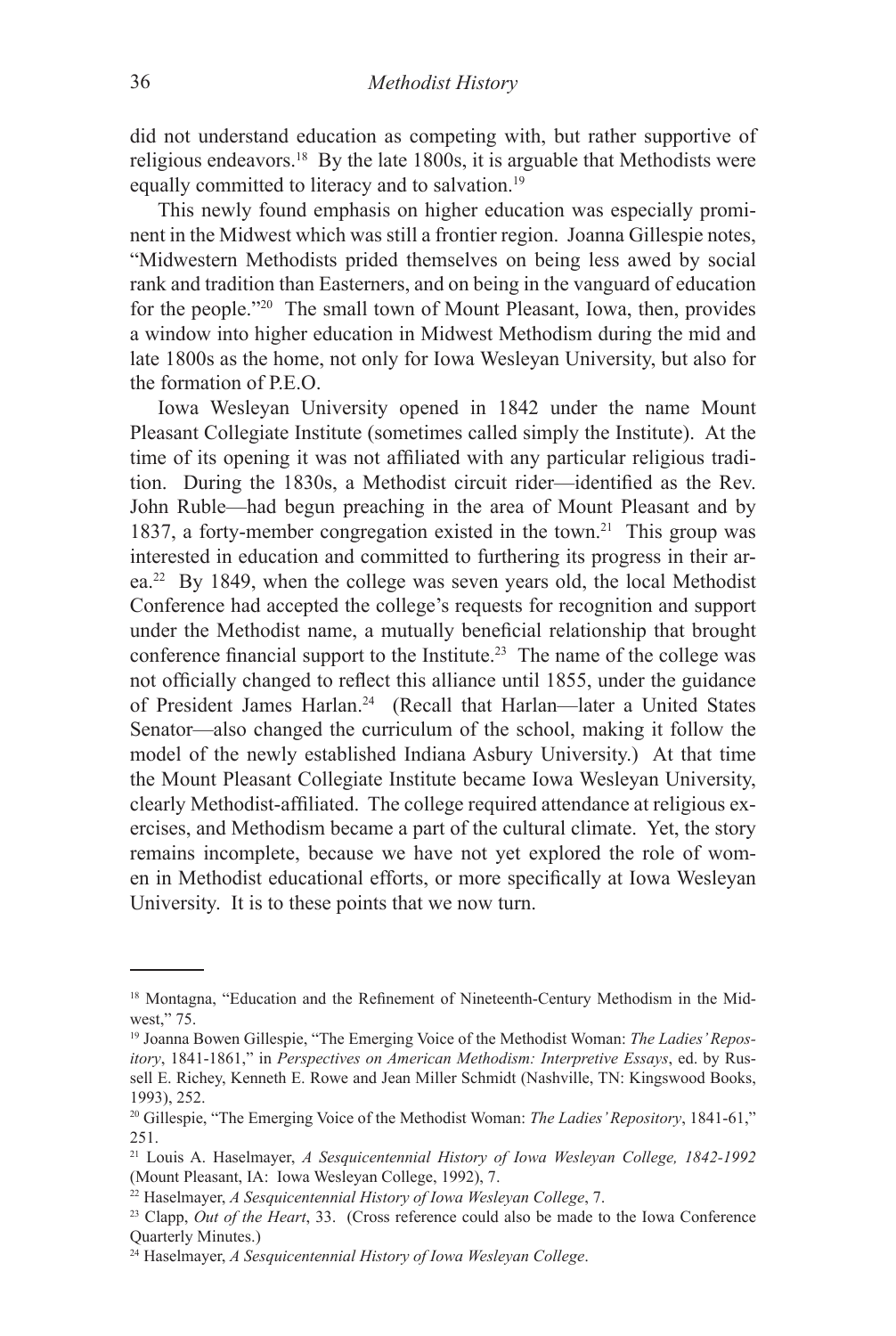did not understand education as competing with, but rather supportive of religious endeavors.18 By the late 1800s, it is arguable that Methodists were equally committed to literacy and to salvation.19

This newly found emphasis on higher education was especially prominent in the Midwest which was still a frontier region. Joanna Gillespie notes, "Midwestern Methodists prided themselves on being less awed by social rank and tradition than Easterners, and on being in the vanguard of education for the people."20 The small town of Mount Pleasant, Iowa, then, provides a window into higher education in Midwest Methodism during the mid and late 1800s as the home, not only for Iowa Wesleyan University, but also for the formation of P.E.O.

Iowa Wesleyan University opened in 1842 under the name Mount Pleasant Collegiate Institute (sometimes called simply the Institute). At the time of its opening it was not affiliated with any particular religious tradition. During the 1830s, a Methodist circuit rider—identified as the Rev. John Ruble—had begun preaching in the area of Mount Pleasant and by 1837, a forty-member congregation existed in the town.21 This group was interested in education and committed to furthering its progress in their area.22 By 1849, when the college was seven years old, the local Methodist Conference had accepted the college's requests for recognition and support under the Methodist name, a mutually beneficial relationship that brought conference financial support to the Institute.23 The name of the college was not officially changed to reflect this alliance until 1855, under the guidance of President James Harlan.24 (Recall that Harlan—later a United States Senator—also changed the curriculum of the school, making it follow the model of the newly established Indiana Asbury University.) At that time the Mount Pleasant Collegiate Institute became Iowa Wesleyan University, clearly Methodist-affiliated. The college required attendance at religious exercises, and Methodism became a part of the cultural climate. Yet, the story remains incomplete, because we have not yet explored the role of women in Methodist educational efforts, or more specifically at Iowa Wesleyan University. It is to these points that we now turn.

<sup>&</sup>lt;sup>18</sup> Montagna, "Education and the Refinement of Nineteenth-Century Methodism in the Midwest," 75.

<sup>19</sup> Joanna Bowen Gillespie, "The Emerging Voice of the Methodist Woman: *The Ladies' Repository*, 1841-1861," in *Perspectives on American Methodism: Interpretive Essays*, ed. by Russell E. Richey, Kenneth E. Rowe and Jean Miller Schmidt (Nashville, TN: Kingswood Books, 1993), 252.

<sup>20</sup> Gillespie, "The Emerging Voice of the Methodist Woman: *The Ladies' Repository*, 1841-61," 251.

<sup>21</sup> Louis A. Haselmayer, *A Sesquicentennial History of Iowa Wesleyan College, 1842-1992* (Mount Pleasant, IA: Iowa Wesleyan College, 1992), 7.

<sup>22</sup> Haselmayer, *A Sesquicentennial History of Iowa Wesleyan College*, 7.

<sup>23</sup> Clapp, *Out of the Heart*, 33. (Cross reference could also be made to the Iowa Conference Quarterly Minutes.)

<sup>24</sup> Haselmayer, *A Sesquicentennial History of Iowa Wesleyan College*.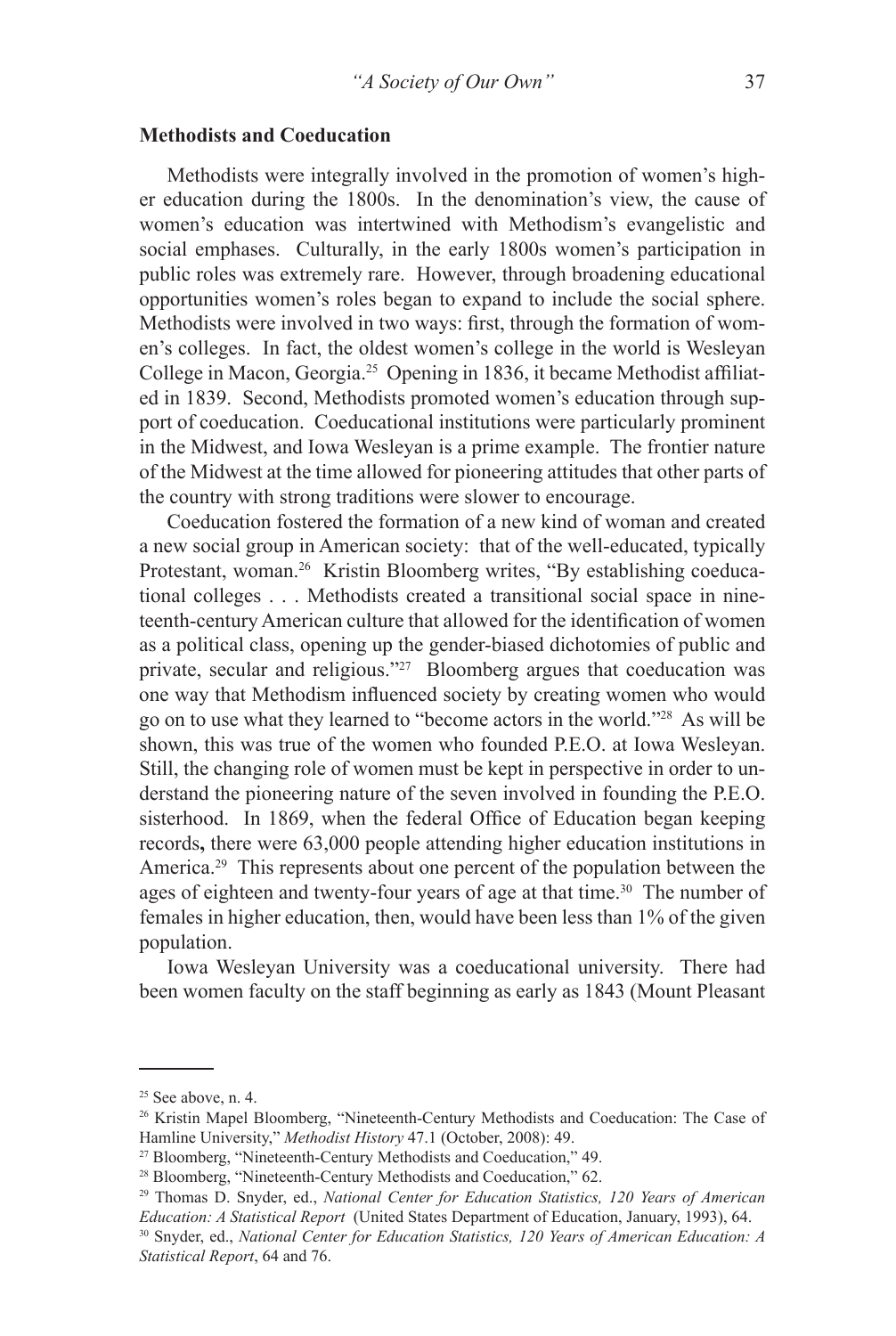#### **Methodists and Coeducation**

Methodists were integrally involved in the promotion of women's higher education during the 1800s. In the denomination's view, the cause of women's education was intertwined with Methodism's evangelistic and social emphases. Culturally, in the early 1800s women's participation in public roles was extremely rare. However, through broadening educational opportunities women's roles began to expand to include the social sphere. Methodists were involved in two ways: first, through the formation of women's colleges. In fact, the oldest women's college in the world is Wesleyan College in Macon, Georgia.25 Opening in 1836, it became Methodist affiliated in 1839. Second, Methodists promoted women's education through support of coeducation. Coeducational institutions were particularly prominent in the Midwest, and Iowa Wesleyan is a prime example. The frontier nature of the Midwest at the time allowed for pioneering attitudes that other parts of the country with strong traditions were slower to encourage.

Coeducation fostered the formation of a new kind of woman and created a new social group in American society: that of the well-educated, typically Protestant, woman.<sup>26</sup> Kristin Bloomberg writes, "By establishing coeducational colleges . . . Methodists created a transitional social space in nineteenth-century American culture that allowed for the identification of women as a political class, opening up the gender-biased dichotomies of public and private, secular and religious."<sup>27</sup> Bloomberg argues that coeducation was one way that Methodism influenced society by creating women who would go on to use what they learned to "become actors in the world."28 As will be shown, this was true of the women who founded P.E.O. at Iowa Wesleyan. Still, the changing role of women must be kept in perspective in order to understand the pioneering nature of the seven involved in founding the P.E.O. sisterhood. In 1869, when the federal Office of Education began keeping records**,** there were 63,000 people attending higher education institutions in America.<sup>29</sup> This represents about one percent of the population between the ages of eighteen and twenty-four years of age at that time.<sup>30</sup> The number of females in higher education, then, would have been less than 1% of the given population.

Iowa Wesleyan University was a coeducational university. There had been women faculty on the staff beginning as early as 1843 (Mount Pleasant

 $25$  See above, n. 4.

<sup>26</sup> Kristin Mapel Bloomberg, "Nineteenth-Century Methodists and Coeducation: The Case of Hamline University," *Methodist History* 47.1 (October, 2008): 49. 27 Bloomberg, "Nineteenth-Century Methodists and Coeducation," 49.

<sup>28</sup> Bloomberg, "Nineteenth-Century Methodists and Coeducation," 62.

<sup>29</sup> Thomas D. Snyder, ed., *National Center for Education Statistics, 120 Years of American Education: A Statistical Report* (United States Department of Education, January, 1993), 64.

<sup>30</sup> Snyder, ed., *National Center for Education Statistics, 120 Years of American Education: A Statistical Report*, 64 and 76.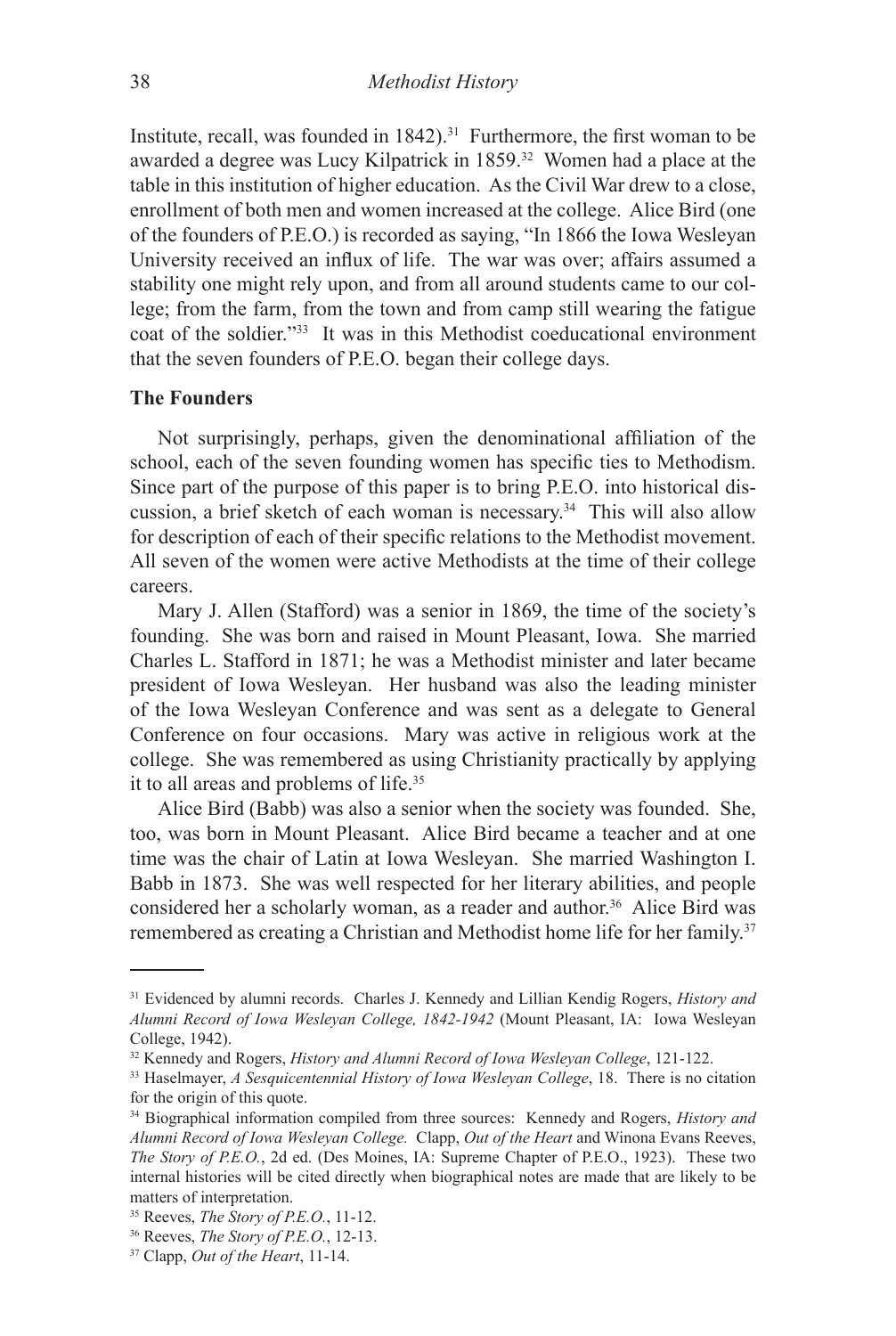Institute, recall, was founded in  $1842$ ).<sup>31</sup> Furthermore, the first woman to be awarded a degree was Lucy Kilpatrick in 1859.32 Women had a place at the table in this institution of higher education. As the Civil War drew to a close, enrollment of both men and women increased at the college. Alice Bird (one of the founders of P.E.O.) is recorded as saying, "In 1866 the Iowa Wesleyan University received an influx of life. The war was over; affairs assumed a stability one might rely upon, and from all around students came to our college; from the farm, from the town and from camp still wearing the fatigue coat of the soldier."33 It was in this Methodist coeducational environment that the seven founders of P.E.O. began their college days.

#### **The Founders**

Not surprisingly, perhaps, given the denominational affiliation of the school, each of the seven founding women has specific ties to Methodism. Since part of the purpose of this paper is to bring P.E.O. into historical discussion, a brief sketch of each woman is necessary.34 This will also allow for description of each of their specific relations to the Methodist movement. All seven of the women were active Methodists at the time of their college careers.

Mary J. Allen (Stafford) was a senior in 1869, the time of the society's founding. She was born and raised in Mount Pleasant, Iowa. She married Charles L. Stafford in 1871; he was a Methodist minister and later became president of Iowa Wesleyan. Her husband was also the leading minister of the Iowa Wesleyan Conference and was sent as a delegate to General Conference on four occasions. Mary was active in religious work at the college. She was remembered as using Christianity practically by applying it to all areas and problems of life.35

Alice Bird (Babb) was also a senior when the society was founded. She, too, was born in Mount Pleasant. Alice Bird became a teacher and at one time was the chair of Latin at Iowa Wesleyan. She married Washington I. Babb in 1873. She was well respected for her literary abilities, and people considered her a scholarly woman, as a reader and author.<sup>36</sup> Alice Bird was remembered as creating a Christian and Methodist home life for her family.<sup>37</sup>

<sup>31</sup> Evidenced by alumni records. Charles J. Kennedy and Lillian Kendig Rogers, *History and Alumni Record of Iowa Wesleyan College, 1842-1942* (Mount Pleasant, IA: Iowa Wesleyan College, 1942).

<sup>32</sup> Kennedy and Rogers, *History and Alumni Record of Iowa Wesleyan College*, 121-122.

<sup>33</sup> Haselmayer, *A Sesquicentennial History of Iowa Wesleyan College*, 18. There is no citation for the origin of this quote.

<sup>34</sup> Biographical information compiled from three sources: Kennedy and Rogers, *History and Alumni Record of Iowa Wesleyan College.* Clapp, *Out of the Heart* and Winona Evans Reeves, *The Story of P.E.O.*, 2d ed. (Des Moines, IA: Supreme Chapter of P.E.O., 1923). These two internal histories will be cited directly when biographical notes are made that are likely to be matters of interpretation.

<sup>35</sup> Reeves, *The Story of P.E.O.*, 11-12.

<sup>36</sup> Reeves, *The Story of P.E.O.*, 12-13.

<sup>37</sup> Clapp, *Out of the Heart*, 11-14.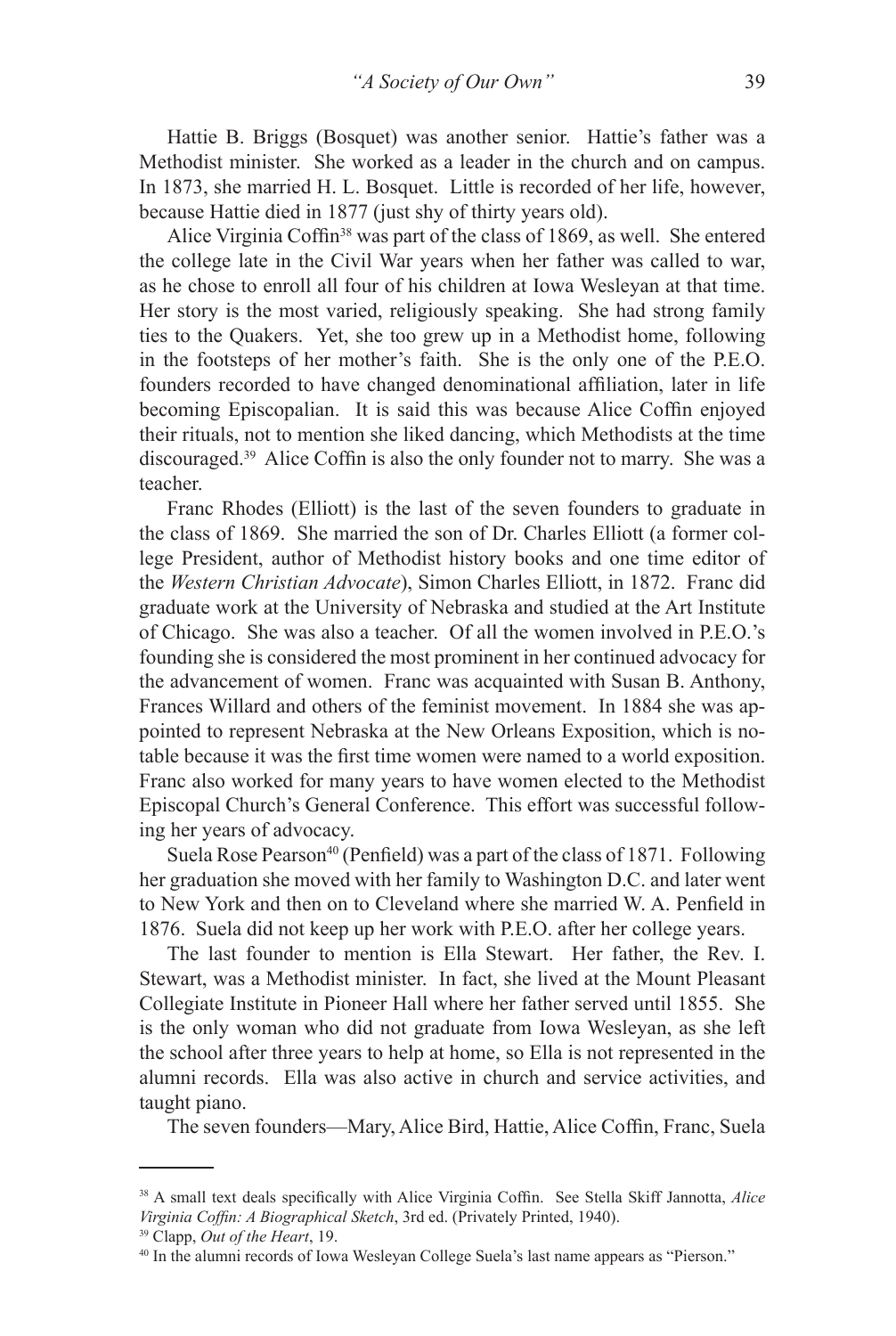Hattie B. Briggs (Bosquet) was another senior. Hattie's father was a Methodist minister. She worked as a leader in the church and on campus. In 1873, she married H. L. Bosquet. Little is recorded of her life, however, because Hattie died in 1877 (just shy of thirty years old).

Alice Virginia Coffin<sup>38</sup> was part of the class of 1869, as well. She entered the college late in the Civil War years when her father was called to war, as he chose to enroll all four of his children at Iowa Wesleyan at that time. Her story is the most varied, religiously speaking. She had strong family ties to the Quakers. Yet, she too grew up in a Methodist home, following in the footsteps of her mother's faith. She is the only one of the P.E.O. founders recorded to have changed denominational affiliation, later in life becoming Episcopalian. It is said this was because Alice Coffin enjoyed their rituals, not to mention she liked dancing, which Methodists at the time discouraged.39 Alice Coffin is also the only founder not to marry. She was a teacher.

Franc Rhodes (Elliott) is the last of the seven founders to graduate in the class of 1869. She married the son of Dr. Charles Elliott (a former college President, author of Methodist history books and one time editor of the *Western Christian Advocate*), Simon Charles Elliott, in 1872. Franc did graduate work at the University of Nebraska and studied at the Art Institute of Chicago. She was also a teacher. Of all the women involved in P.E.O.'s founding she is considered the most prominent in her continued advocacy for the advancement of women. Franc was acquainted with Susan B. Anthony, Frances Willard and others of the feminist movement. In 1884 she was appointed to represent Nebraska at the New Orleans Exposition, which is notable because it was the first time women were named to a world exposition. Franc also worked for many years to have women elected to the Methodist Episcopal Church's General Conference. This effort was successful following her years of advocacy.

Suela Rose Pearson<sup>40</sup> (Penfield) was a part of the class of 1871. Following her graduation she moved with her family to Washington D.C. and later went to New York and then on to Cleveland where she married W. A. Penfield in 1876. Suela did not keep up her work with P.E.O. after her college years.

The last founder to mention is Ella Stewart. Her father, the Rev. I. Stewart, was a Methodist minister. In fact, she lived at the Mount Pleasant Collegiate Institute in Pioneer Hall where her father served until 1855. She is the only woman who did not graduate from Iowa Wesleyan, as she left the school after three years to help at home, so Ella is not represented in the alumni records. Ella was also active in church and service activities, and taught piano.

The seven founders—Mary, Alice Bird, Hattie, Alice Coffin, Franc, Suela

<sup>38</sup> A small text deals specifically with Alice Virginia Coffin. See Stella Skiff Jannotta, *Alice Virginia Coffin: A Biographical Sketch*, 3rd ed. (Privately Printed, 1940).

<sup>39</sup> Clapp, *Out of the Heart*, 19.

<sup>40</sup> In the alumni records of Iowa Wesleyan College Suela's last name appears as "Pierson."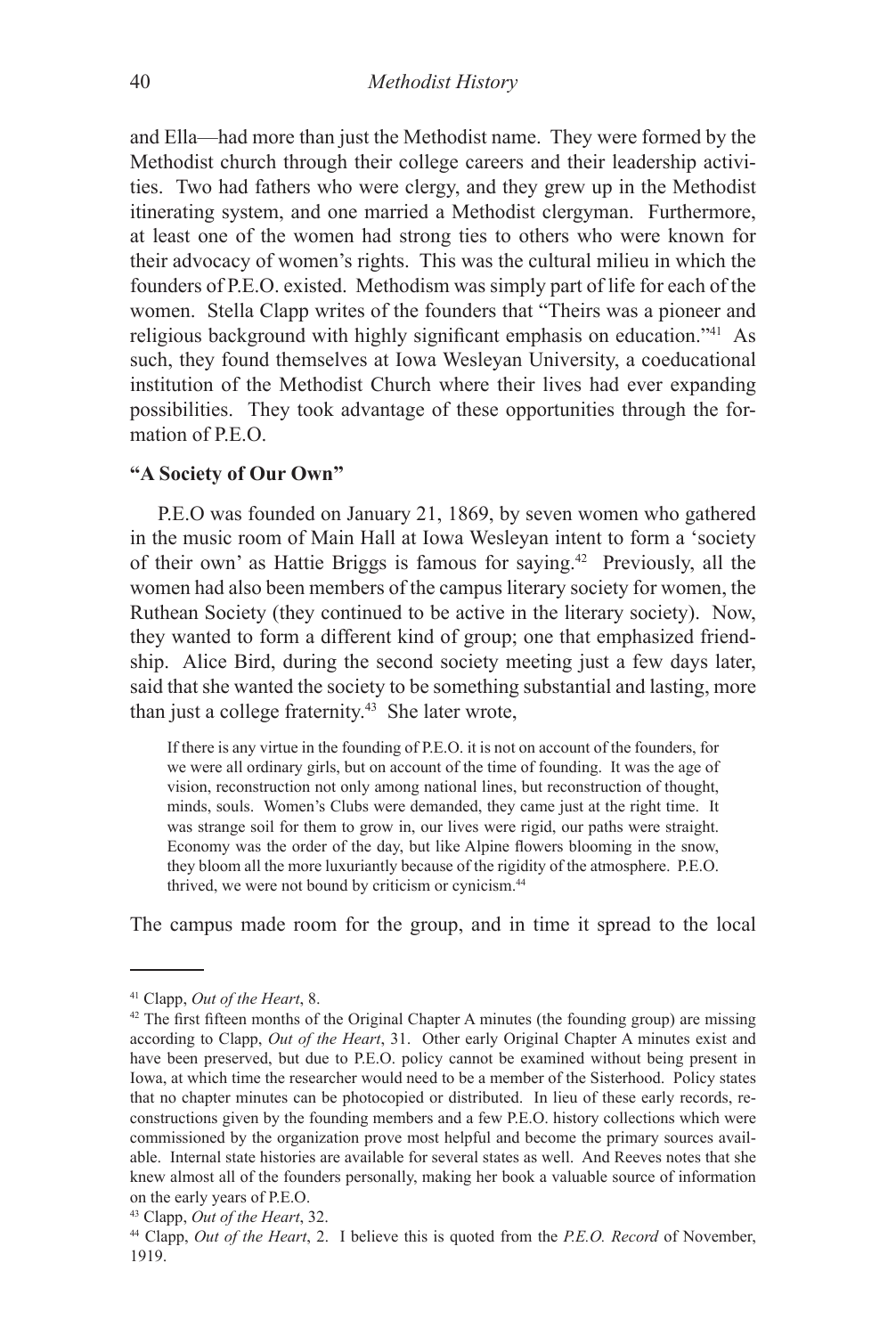and Ella—had more than just the Methodist name. They were formed by the Methodist church through their college careers and their leadership activities. Two had fathers who were clergy, and they grew up in the Methodist itinerating system, and one married a Methodist clergyman. Furthermore, at least one of the women had strong ties to others who were known for their advocacy of women's rights. This was the cultural milieu in which the founders of P.E.O. existed. Methodism was simply part of life for each of the women. Stella Clapp writes of the founders that "Theirs was a pioneer and religious background with highly significant emphasis on education."41 As such, they found themselves at Iowa Wesleyan University, a coeducational institution of the Methodist Church where their lives had ever expanding possibilities. They took advantage of these opportunities through the formation of P.E.O.

## **"A Society of Our Own"**

P.E.O was founded on January 21, 1869, by seven women who gathered in the music room of Main Hall at Iowa Wesleyan intent to form a 'society of their own' as Hattie Briggs is famous for saying.42 Previously, all the women had also been members of the campus literary society for women, the Ruthean Society (they continued to be active in the literary society). Now, they wanted to form a different kind of group; one that emphasized friendship. Alice Bird, during the second society meeting just a few days later, said that she wanted the society to be something substantial and lasting, more than just a college fraternity. $43$  She later wrote,

If there is any virtue in the founding of P.E.O. it is not on account of the founders, for we were all ordinary girls, but on account of the time of founding. It was the age of vision, reconstruction not only among national lines, but reconstruction of thought, minds, souls. Women's Clubs were demanded, they came just at the right time. It was strange soil for them to grow in, our lives were rigid, our paths were straight. Economy was the order of the day, but like Alpine flowers blooming in the snow, they bloom all the more luxuriantly because of the rigidity of the atmosphere. P.E.O. thrived, we were not bound by criticism or cynicism.44

The campus made room for the group, and in time it spread to the local

<sup>41</sup> Clapp, *Out of the Heart*, 8.

 $42$  The first fifteen months of the Original Chapter A minutes (the founding group) are missing according to Clapp, *Out of the Heart*, 31. Other early Original Chapter A minutes exist and have been preserved, but due to P.E.O. policy cannot be examined without being present in Iowa, at which time the researcher would need to be a member of the Sisterhood. Policy states that no chapter minutes can be photocopied or distributed. In lieu of these early records, reconstructions given by the founding members and a few P.E.O. history collections which were commissioned by the organization prove most helpful and become the primary sources available. Internal state histories are available for several states as well. And Reeves notes that she knew almost all of the founders personally, making her book a valuable source of information on the early years of P.E.O.

<sup>43</sup> Clapp, *Out of the Heart*, 32.

<sup>44</sup> Clapp, *Out of the Heart*, 2. I believe this is quoted from the *P.E.O. Record* of November, 1919.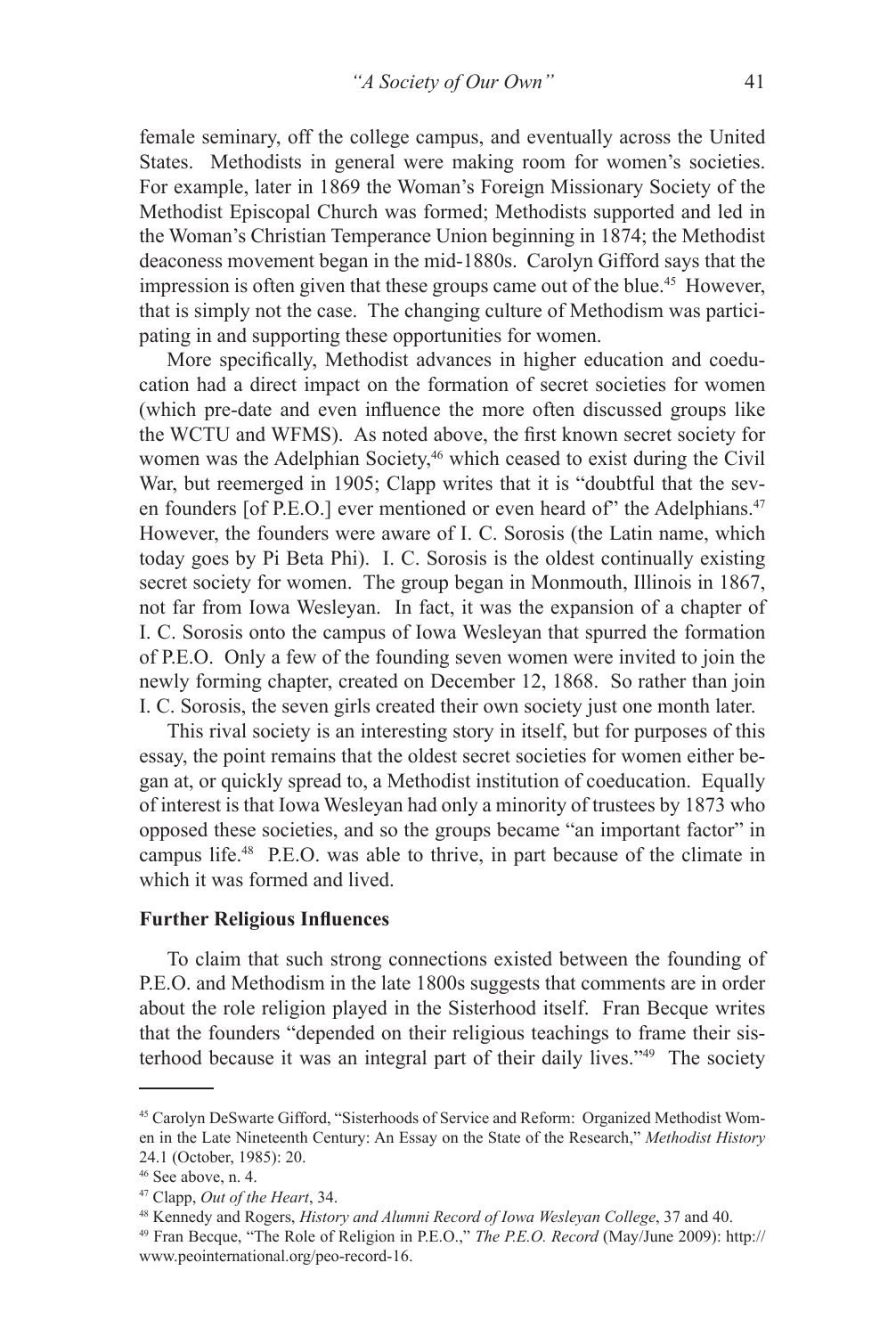female seminary, off the college campus, and eventually across the United States. Methodists in general were making room for women's societies. For example, later in 1869 the Woman's Foreign Missionary Society of the Methodist Episcopal Church was formed; Methodists supported and led in the Woman's Christian Temperance Union beginning in 1874; the Methodist deaconess movement began in the mid-1880s. Carolyn Gifford says that the impression is often given that these groups came out of the blue.<sup>45</sup> However, that is simply not the case. The changing culture of Methodism was participating in and supporting these opportunities for women.

More specifically, Methodist advances in higher education and coeducation had a direct impact on the formation of secret societies for women (which pre-date and even influence the more often discussed groups like the WCTU and WFMS). As noted above, the first known secret society for women was the Adelphian Society,<sup>46</sup> which ceased to exist during the Civil War, but reemerged in 1905; Clapp writes that it is "doubtful that the seven founders [of P.E.O.] ever mentioned or even heard of" the Adelphians.<sup>47</sup> However, the founders were aware of I. C. Sorosis (the Latin name, which today goes by Pi Beta Phi). I. C. Sorosis is the oldest continually existing secret society for women. The group began in Monmouth, Illinois in 1867, not far from Iowa Wesleyan. In fact, it was the expansion of a chapter of I. C. Sorosis onto the campus of Iowa Wesleyan that spurred the formation of P.E.O. Only a few of the founding seven women were invited to join the newly forming chapter, created on December 12, 1868. So rather than join I. C. Sorosis, the seven girls created their own society just one month later.

This rival society is an interesting story in itself, but for purposes of this essay, the point remains that the oldest secret societies for women either began at, or quickly spread to, a Methodist institution of coeducation. Equally of interest is that Iowa Wesleyan had only a minority of trustees by 1873 who opposed these societies, and so the groups became "an important factor" in campus life.48 P.E.O. was able to thrive, in part because of the climate in which it was formed and lived.

### **Further Religious Influences**

To claim that such strong connections existed between the founding of P.E.O. and Methodism in the late 1800s suggests that comments are in order about the role religion played in the Sisterhood itself. Fran Becque writes that the founders "depended on their religious teachings to frame their sisterhood because it was an integral part of their daily lives."49 The society

<sup>45</sup> Carolyn DeSwarte Gifford, "Sisterhoods of Service and Reform: Organized Methodist Women in the Late Nineteenth Century: An Essay on the State of the Research," *Methodist History*  24.1 (October, 1985): 20.

 $46$  See above, n. 4.

<sup>47</sup> Clapp, *Out of the Heart*, 34.

<sup>48</sup> Kennedy and Rogers, *History and Alumni Record of Iowa Wesleyan College*, 37 and 40.

<sup>49</sup> Fran Becque, "The Role of Religion in P.E.O.," *The P.E.O. Record* (May/June 2009): http:// www.peointernational.org/peo-record-16.